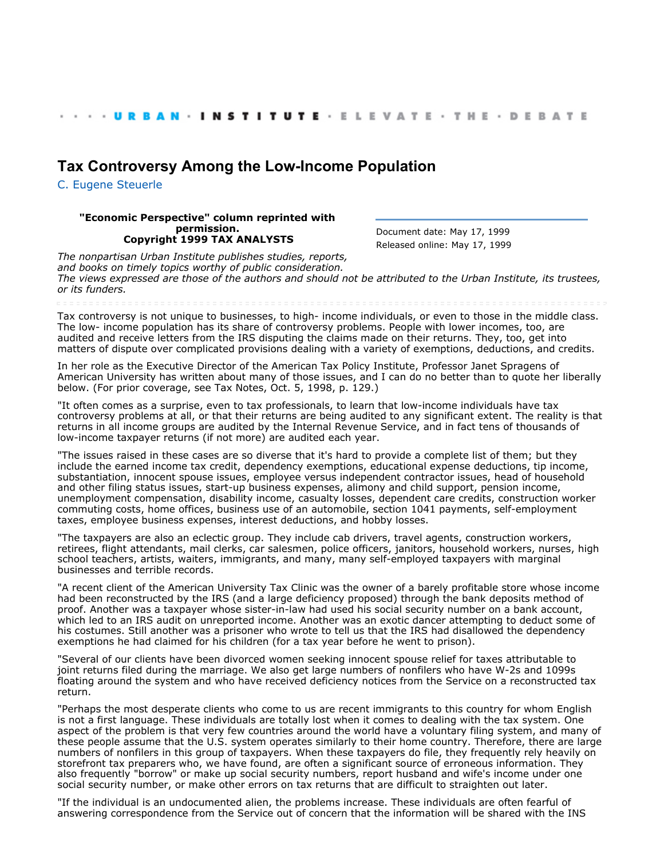## **[Tax Controversy Among the Low-Income Population](http://webarchive.urban.org/index.cfm)**

[C. Eugene Steuerle](http://www.urban.org/CEugeneSteuerle)

## **"Economic Perspective" column reprinted with permission. Copyright 1999 TAX ANALYSTS**

Document date: May 17, 1999 Released online: May 17, 1999

*The nonpartisan Urban Institute publishes studies, reports, and books on timely topics worthy of public consideration. The views expressed are those of the authors and should not be attributed to the Urban Institute, its trustees, or its funders.*

Tax controversy is not unique to businesses, to high- income individuals, or even to those in the middle class. The low- income population has its share of controversy problems. People with lower incomes, too, are audited and receive letters from the IRS disputing the claims made on their returns. They, too, get into matters of dispute over complicated provisions dealing with a variety of exemptions, deductions, and credits.

In her role as the Executive Director of the American Tax Policy Institute, Professor Janet Spragens of American University has written about many of those issues, and I can do no better than to quote her liberally below. (For prior coverage, see Tax Notes, Oct. 5, 1998, p. 129.)

"It often comes as a surprise, even to tax professionals, to learn that low-income individuals have tax controversy problems at all, or that their returns are being audited to any significant extent. The reality is that returns in all income groups are audited by the Internal Revenue Service, and in fact tens of thousands of low-income taxpayer returns (if not more) are audited each year.

"The issues raised in these cases are so diverse that it's hard to provide a complete list of them; but they include the earned income tax credit, dependency exemptions, educational expense deductions, tip income, substantiation, innocent spouse issues, employee versus independent contractor issues, head of household and other filing status issues, start-up business expenses, alimony and child support, pension income, unemployment compensation, disability income, casualty losses, dependent care credits, construction worker commuting costs, home offices, business use of an automobile, section 1041 payments, self-employment taxes, employee business expenses, interest deductions, and hobby losses.

"The taxpayers are also an eclectic group. They include cab drivers, travel agents, construction workers, retirees, flight attendants, mail clerks, car salesmen, police officers, janitors, household workers, nurses, high school teachers, artists, waiters, immigrants, and many, many self-employed taxpayers with marginal businesses and terrible records.

"A recent client of the American University Tax Clinic was the owner of a barely profitable store whose income had been reconstructed by the IRS (and a large deficiency proposed) through the bank deposits method of proof. Another was a taxpayer whose sister-in-law had used his social security number on a bank account, which led to an IRS audit on unreported income. Another was an exotic dancer attempting to deduct some of his costumes. Still another was a prisoner who wrote to tell us that the IRS had disallowed the dependency exemptions he had claimed for his children (for a tax year before he went to prison).

"Several of our clients have been divorced women seeking innocent spouse relief for taxes attributable to joint returns filed during the marriage. We also get large numbers of nonfilers who have W-2s and 1099s floating around the system and who have received deficiency notices from the Service on a reconstructed tax return.

"Perhaps the most desperate clients who come to us are recent immigrants to this country for whom English is not a first language. These individuals are totally lost when it comes to dealing with the tax system. One aspect of the problem is that very few countries around the world have a voluntary filing system, and many of these people assume that the U.S. system operates similarly to their home country. Therefore, there are large numbers of nonfilers in this group of taxpayers. When these taxpayers do file, they frequently rely heavily on storefront tax preparers who, we have found, are often a significant source of erroneous information. They also frequently "borrow" or make up social security numbers, report husband and wife's income under one social security number, or make other errors on tax returns that are difficult to straighten out later.

"If the individual is an undocumented alien, the problems increase. These individuals are often fearful of answering correspondence from the Service out of concern that the information will be shared with the INS